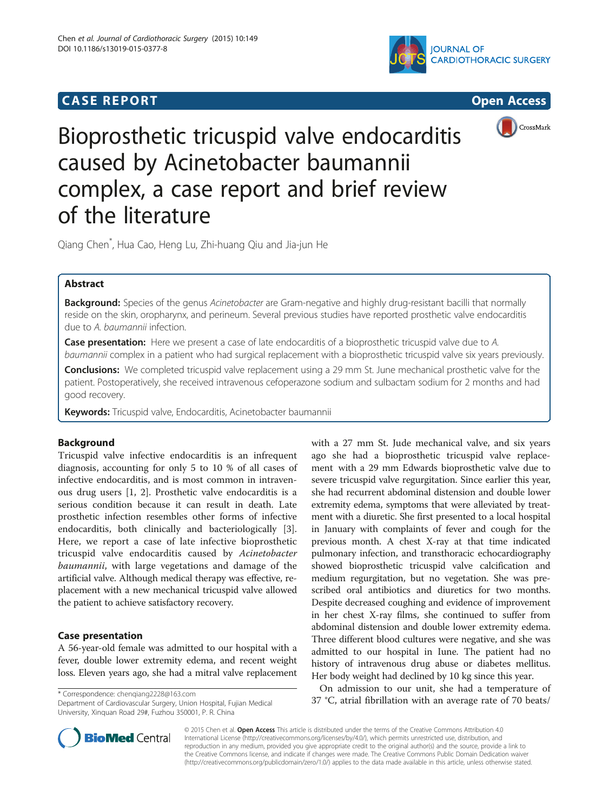## **CASE REPORT CASE REPORT CASE REPORT**







# Bioprosthetic tricuspid valve endocarditis caused by Acinetobacter baumannii complex, a case report and brief review of the literature

Qiang Chen\* , Hua Cao, Heng Lu, Zhi-huang Qiu and Jia-jun He

## Abstract

Background: Species of the genus Acinetobacter are Gram-negative and highly drug-resistant bacilli that normally reside on the skin, oropharynx, and perineum. Several previous studies have reported prosthetic valve endocarditis due to A. baumannii infection.

**Case presentation:** Here we present a case of late endocarditis of a bioprosthetic tricuspid valve due to A. baumannii complex in a patient who had surgical replacement with a bioprosthetic tricuspid valve six years previously.

**Conclusions:** We completed tricuspid valve replacement using a 29 mm St. June mechanical prosthetic valve for the patient. Postoperatively, she received intravenous cefoperazone sodium and sulbactam sodium for 2 months and had good recovery.

Keywords: Tricuspid valve, Endocarditis, Acinetobacter baumannii

## Background

Tricuspid valve infective endocarditis is an infrequent diagnosis, accounting for only 5 to 10 % of all cases of infective endocarditis, and is most common in intravenous drug users [\[1](#page-2-0), [2](#page-2-0)]. Prosthetic valve endocarditis is a serious condition because it can result in death. Late prosthetic infection resembles other forms of infective endocarditis, both clinically and bacteriologically [\[3](#page-2-0)]. Here, we report a case of late infective bioprosthetic tricuspid valve endocarditis caused by Acinetobacter baumannii, with large vegetations and damage of the artificial valve. Although medical therapy was effective, replacement with a new mechanical tricuspid valve allowed the patient to achieve satisfactory recovery.

#### Case presentation

A 56-year-old female was admitted to our hospital with a fever, double lower extremity edema, and recent weight loss. Eleven years ago, she had a mitral valve replacement

Department of Cardiovascular Surgery, Union Hospital, Fujian Medical University, Xinquan Road 29#, Fuzhou 350001, P. R. China



On admission to our unit, she had a temperature of 37 °C, atrial fibrillation with an average rate of 70 beats/ \* Correspondence: [chenqiang2228@163.com](mailto:chenqiang2228@163.com)



© 2015 Chen et al. Open Access This article is distributed under the terms of the Creative Commons Attribution 4.0 International License [\(http://creativecommons.org/licenses/by/4.0/](http://creativecommons.org/licenses/by/4.0/)), which permits unrestricted use, distribution, and reproduction in any medium, provided you give appropriate credit to the original author(s) and the source, provide a link to the Creative Commons license, and indicate if changes were made. The Creative Commons Public Domain Dedication waiver [\(http://creativecommons.org/publicdomain/zero/1.0/](http://creativecommons.org/publicdomain/zero/1.0/)) applies to the data made available in this article, unless otherwise stated.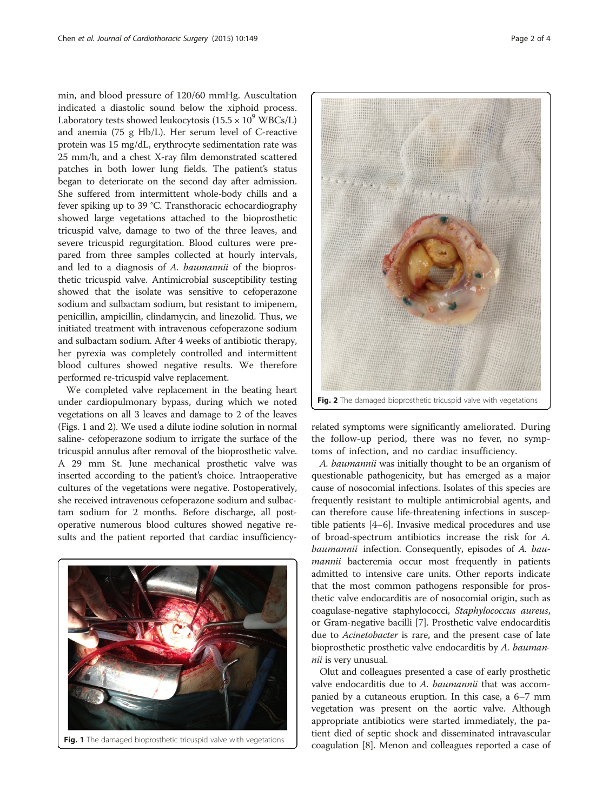min, and blood pressure of 120/60 mmHg. Auscultation indicated a diastolic sound below the xiphoid process. Laboratory tests showed leukocytosis  $(15.5 \times 10^9 \text{ WBCs/L})$ and anemia (75 g Hb/L). Her serum level of C-reactive protein was 15 mg/dL, erythrocyte sedimentation rate was 25 mm/h, and a chest X-ray film demonstrated scattered patches in both lower lung fields. The patient's status began to deteriorate on the second day after admission. She suffered from intermittent whole-body chills and a fever spiking up to 39 °C. Transthoracic echocardiography showed large vegetations attached to the bioprosthetic tricuspid valve, damage to two of the three leaves, and severe tricuspid regurgitation. Blood cultures were prepared from three samples collected at hourly intervals, and led to a diagnosis of A. baumannii of the bioprosthetic tricuspid valve. Antimicrobial susceptibility testing showed that the isolate was sensitive to cefoperazone sodium and sulbactam sodium, but resistant to imipenem, penicillin, ampicillin, clindamycin, and linezolid. Thus, we initiated treatment with intravenous cefoperazone sodium and sulbactam sodium. After 4 weeks of antibiotic therapy, her pyrexia was completely controlled and intermittent blood cultures showed negative results. We therefore performed re-tricuspid valve replacement.

We completed valve replacement in the beating heart under cardiopulmonary bypass, during which we noted vegetations on all 3 leaves and damage to 2 of the leaves (Figs. 1 and 2). We used a dilute iodine solution in normal saline- cefoperazone sodium to irrigate the surface of the tricuspid annulus after removal of the bioprosthetic valve. A 29 mm St. June mechanical prosthetic valve was inserted according to the patient's choice. Intraoperative cultures of the vegetations were negative. Postoperatively, she received intravenous cefoperazone sodium and sulbactam sodium for 2 months. Before discharge, all postoperative numerous blood cultures showed negative results and the patient reported that cardiac insufficiency-





related symptoms were significantly ameliorated. During the follow-up period, there was no fever, no symptoms of infection, and no cardiac insufficiency.

A. baumannii was initially thought to be an organism of questionable pathogenicity, but has emerged as a major cause of nosocomial infections. Isolates of this species are frequently resistant to multiple antimicrobial agents, and can therefore cause life-threatening infections in susceptible patients [\[4](#page-2-0)–[6](#page-2-0)]. Invasive medical procedures and use of broad-spectrum antibiotics increase the risk for A. baumannii infection. Consequently, episodes of A. baumannii bacteremia occur most frequently in patients admitted to intensive care units. Other reports indicate that the most common pathogens responsible for prosthetic valve endocarditis are of nosocomial origin, such as coagulase-negative staphylococci, Staphylococcus aureus, or Gram-negative bacilli [\[7](#page-2-0)]. Prosthetic valve endocarditis due to Acinetobacter is rare, and the present case of late bioprosthetic prosthetic valve endocarditis by A. baumannii is very unusual.

Olut and colleagues presented a case of early prosthetic valve endocarditis due to A. baumannii that was accompanied by a cutaneous eruption. In this case, a 6–7 mm vegetation was present on the aortic valve. Although appropriate antibiotics were started immediately, the patient died of septic shock and disseminated intravascular Fig. 1 The damaged bioprosthetic tricuspid valve with vegetations coagulation [\[8](#page-2-0)]. Menon and colleagues reported a case of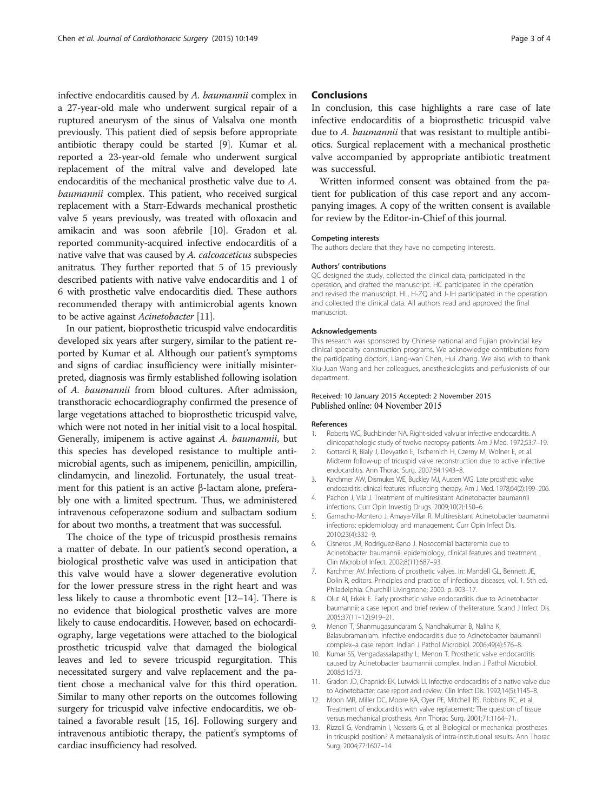<span id="page-2-0"></span>infective endocarditis caused by A. baumannii complex in a 27-year-old male who underwent surgical repair of a ruptured aneurysm of the sinus of Valsalva one month previously. This patient died of sepsis before appropriate antibiotic therapy could be started [9]. Kumar et al. reported a 23-year-old female who underwent surgical replacement of the mitral valve and developed late endocarditis of the mechanical prosthetic valve due to A. baumannii complex. This patient, who received surgical replacement with a Starr-Edwards mechanical prosthetic valve 5 years previously, was treated with ofloxacin and amikacin and was soon afebrile [10]. Gradon et al. reported community-acquired infective endocarditis of a native valve that was caused by A. calcoaceticus subspecies anitratus. They further reported that 5 of 15 previously described patients with native valve endocarditis and 1 of 6 with prosthetic valve endocarditis died. These authors recommended therapy with antimicrobial agents known to be active against Acinetobacter [11].

In our patient, bioprosthetic tricuspid valve endocarditis developed six years after surgery, similar to the patient reported by Kumar et al. Although our patient's symptoms and signs of cardiac insufficiency were initially misinterpreted, diagnosis was firmly established following isolation of A. baumannii from blood cultures. After admission, transthoracic echocardiography confirmed the presence of large vegetations attached to bioprosthetic tricuspid valve, which were not noted in her initial visit to a local hospital. Generally, imipenem is active against A. baumannii, but this species has developed resistance to multiple antimicrobial agents, such as imipenem, penicillin, ampicillin, clindamycin, and linezolid. Fortunately, the usual treatment for this patient is an active β-lactam alone, preferably one with a limited spectrum. Thus, we administered intravenous cefoperazone sodium and sulbactam sodium for about two months, a treatment that was successful.

The choice of the type of tricuspid prosthesis remains a matter of debate. In our patient's second operation, a biological prosthetic valve was used in anticipation that this valve would have a slower degenerative evolution for the lower pressure stress in the right heart and was less likely to cause a thrombotic event [12–[14\]](#page-3-0). There is no evidence that biological prosthetic valves are more likely to cause endocarditis. However, based on echocardiography, large vegetations were attached to the biological prosthetic tricuspid valve that damaged the biological leaves and led to severe tricuspid regurgitation. This necessitated surgery and valve replacement and the patient chose a mechanical valve for this third operation. Similar to many other reports on the outcomes following surgery for tricuspid valve infective endocarditis, we obtained a favorable result [[15, 16](#page-3-0)]. Following surgery and intravenous antibiotic therapy, the patient's symptoms of cardiac insufficiency had resolved.

#### **Conclusions**

In conclusion, this case highlights a rare case of late infective endocarditis of a bioprosthetic tricuspid valve due to A. baumannii that was resistant to multiple antibiotics. Surgical replacement with a mechanical prosthetic valve accompanied by appropriate antibiotic treatment was successful.

Written informed consent was obtained from the patient for publication of this case report and any accompanying images. A copy of the written consent is available for review by the Editor-in-Chief of this journal.

## Competing interests

The authors declare that they have no competing interests.

#### Authors' contributions

QC designed the study, collected the clinical data, participated in the operation, and drafted the manuscript. HC participated in the operation and revised the manuscript. HL, H-ZQ and J-JH participated in the operation and collected the clinical data. All authors read and approved the final manuscript.

#### Acknowledgements

This research was sponsored by Chinese national and Fujian provincial key clinical specialty construction programs. We acknowledge contributions from the participating doctors, Liang-wan Chen, Hui Zhang. We also wish to thank Xiu-Juan Wang and her colleagues, anesthesiologists and perfusionists of our department.

#### Received: 10 January 2015 Accepted: 2 November 2015 Published online: 04 November 2015

#### References

- 1. Roberts WC, Buchbinder NA. Right-sided valvular infective endocarditis. A clinicopathologic study of twelve necropsy patients. Am J Med. 1972;53:7–19.
- 2. Gottardi R, Bialy J, Devyatko E, Tschernich H, Czerny M, Wolner E, et al. Midterm follow-up of tricuspid valve reconstruction due to active infective endocarditis. Ann Thorac Surg. 2007;84:1943–8.
- 3. Karchmer AW, Dismukes WE, Buckley MJ, Austen WG. Late prosthetic valve endocarditis: clinical features influencing therapy. Am J Med. 1978;64(2):199–206.
- 4. Pachon J, Vila J. Treatment of multiresistant Acinetobacter baumannii infections. Curr Opin Investig Drugs. 2009;10(2):150–6.
- 5. Garnacho-Montero J, Amaya-Villar R. Multiresistant Acinetobacter baumannii infections: epidemiology and management. Curr Opin Infect Dis. 2010;23(4):332–9.
- 6. Cisneros JM, Rodriguez-Bano J. Nosocomial bacteremia due to Acinetobacter baumannii: epidemiology, clinical features and treatment. Clin Microbiol Infect. 2002;8(11):687–93.
- 7. Karchmer AV. Infections of prosthetic valves. In: Mandell GL, Bennett JE, Dolin R, editors. Principles and practice of infectious diseases, vol. 1. 5th ed. Philadelphia: Churchill Livingstone; 2000. p. 903–17.
- 8. Olut AI, Erkek E. Early prosthetic valve endocarditis due to Acinetobacter baumannii: a case report and brief review of theliterature. Scand J Infect Dis. 2005;37(11–12):919–21.
- 9. Menon T, Shanmugasundaram S, Nandhakumar B, Nalina K, Balasubramaniam. Infective endocarditis due to Acinetobacter baumannii complex–a case report. Indian J Pathol Microbiol. 2006;49(4):576–8.
- 10. Kumar SS, Vengadassalapathy L, Menon T. Prosthetic valve endocarditis caused by Acinetobacter baumannii complex. Indian J Pathol Microbiol. 2008;51:573.
- 11. Gradon JD, Chapnick EK, Lutwick LI. Infective endocarditis of a native valve due to Acinetobacter: case report and review. Clin Infect Dis. 1992;14(5):1145–8.
- 12. Moon MR, Miller DC, Moore KA, Oyer PE, Mitchell RS, Robbins RC, et al. Treatment of endocarditis with valve replacement: The question of tissue versus mechanical prosthesis. Ann Thorac Surg. 2001;71:1164–71.
- 13. Rizzoli G, Vendramin I, Nesseris G, et al. Biological or mechanical prostheses in tricuspid position? A metaanalysis of intra-institutional results. Ann Thorac Surg. 2004;77:1607–14.